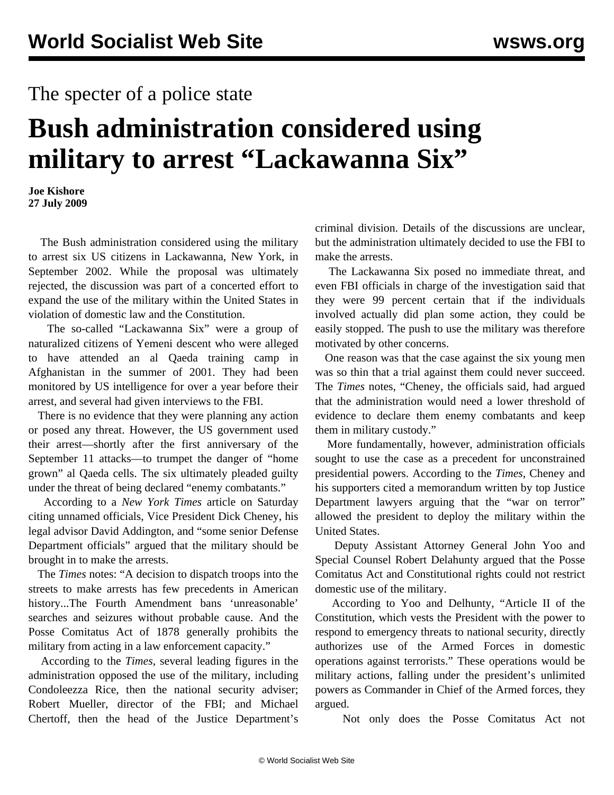## The specter of a police state

## **Bush administration considered using military to arrest "Lackawanna Six"**

**Joe Kishore 27 July 2009**

 The Bush administration considered using the military to arrest six US citizens in Lackawanna, New York, in September 2002. While the proposal was ultimately rejected, the discussion was part of a concerted effort to expand the use of the military within the United States in violation of domestic law and the Constitution.

 The so-called "Lackawanna Six" were a group of naturalized citizens of Yemeni descent who were alleged to have attended an al Qaeda training camp in Afghanistan in the summer of 2001. They had been monitored by US intelligence for over a year before their arrest, and several had given interviews to the FBI.

 There is no evidence that they were planning any action or posed any threat. However, the US government used their arrest—shortly after the first anniversary of the September 11 attacks—to trumpet the danger of "home grown" al Qaeda cells. The six ultimately pleaded guilty under the threat of being declared "enemy combatants."

 According to a *New York Times* article on Saturday citing unnamed officials, Vice President Dick Cheney, his legal advisor David Addington, and "some senior Defense Department officials" argued that the military should be brought in to make the arrests.

 The *Times* notes: "A decision to dispatch troops into the streets to make arrests has few precedents in American history...The Fourth Amendment bans 'unreasonable' searches and seizures without probable cause. And the Posse Comitatus Act of 1878 generally prohibits the military from acting in a law enforcement capacity."

 According to the *Times*, several leading figures in the administration opposed the use of the military, including Condoleezza Rice, then the national security adviser; Robert Mueller, director of the FBI; and Michael Chertoff, then the head of the Justice Department's criminal division. Details of the discussions are unclear, but the administration ultimately decided to use the FBI to make the arrests.

 The Lackawanna Six posed no immediate threat, and even FBI officials in charge of the investigation said that they were 99 percent certain that if the individuals involved actually did plan some action, they could be easily stopped. The push to use the military was therefore motivated by other concerns.

 One reason was that the case against the six young men was so thin that a trial against them could never succeed. The *Times* notes, "Cheney, the officials said, had argued that the administration would need a lower threshold of evidence to declare them enemy combatants and keep them in military custody."

 More fundamentally, however, administration officials sought to use the case as a precedent for unconstrained presidential powers. According to the *Times*, Cheney and his supporters cited a memorandum written by top Justice Department lawyers arguing that the "war on terror" allowed the president to deploy the military within the United States.

 Deputy Assistant Attorney General John Yoo and Special Counsel Robert Delahunty argued that the Posse Comitatus Act and Constitutional rights could not restrict domestic use of the military.

 According to Yoo and Delhunty, "Article II of the Constitution, which vests the President with the power to respond to emergency threats to national security, directly authorizes use of the Armed Forces in domestic operations against terrorists." These operations would be military actions, falling under the president's unlimited powers as Commander in Chief of the Armed forces, they argued.

Not only does the Posse Comitatus Act not